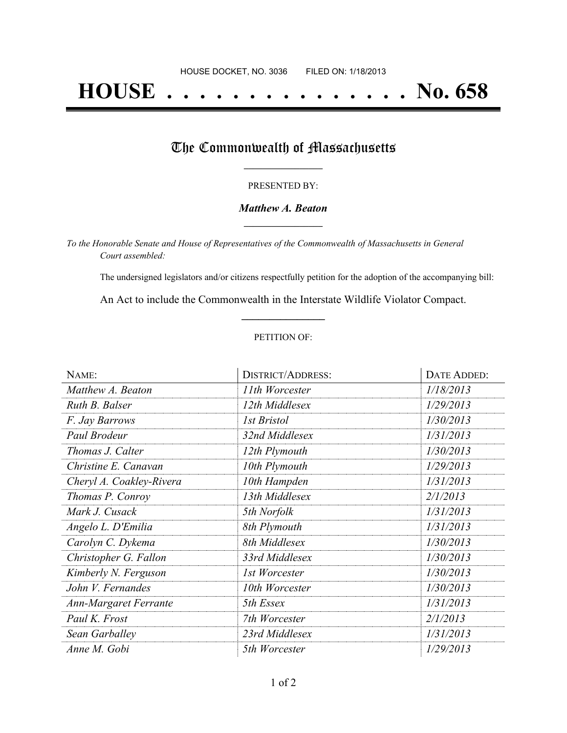# **HOUSE . . . . . . . . . . . . . . . No. 658**

### The Commonwealth of Massachusetts

#### PRESENTED BY:

#### *Matthew A. Beaton* **\_\_\_\_\_\_\_\_\_\_\_\_\_\_\_\_\_**

*To the Honorable Senate and House of Representatives of the Commonwealth of Massachusetts in General Court assembled:*

The undersigned legislators and/or citizens respectfully petition for the adoption of the accompanying bill:

An Act to include the Commonwealth in the Interstate Wildlife Violator Compact. **\_\_\_\_\_\_\_\_\_\_\_\_\_\_\_**

#### PETITION OF:

| NAME:                    | <b>DISTRICT/ADDRESS:</b> | DATE ADDED: |
|--------------------------|--------------------------|-------------|
| Matthew A. Beaton        | 11th Worcester           | 1/18/2013   |
| Ruth B. Balser           | 12th Middlesex           | 1/29/2013   |
| F. Jay Barrows           | <b>1st Bristol</b>       | 1/30/2013   |
| Paul Brodeur             | 32nd Middlesex           | 1/31/2013   |
| Thomas J. Calter         | 12th Plymouth            | 1/30/2013   |
| Christine E. Canavan     | 10th Plymouth            | 1/29/2013   |
| Cheryl A. Coakley-Rivera | 10th Hampden             | 1/31/2013   |
| Thomas P. Conroy         | 13th Middlesex           | 2/1/2013    |
| Mark J. Cusack           | 5th Norfolk              | 1/31/2013   |
| Angelo L. D'Emilia       | 8th Plymouth             | 1/31/2013   |
| Carolyn C. Dykema        | 8th Middlesex            | 1/30/2013   |
| Christopher G. Fallon    | 33rd Middlesex           | 1/30/2013   |
| Kimberly N. Ferguson     | 1st Worcester            | 1/30/2013   |
| John V. Fernandes        | 10th Worcester           | 1/30/2013   |
| Ann-Margaret Ferrante    | 5th Essex                | 1/31/2013   |
| Paul K. Frost            | 7th Worcester            | 2/1/2013    |
| Sean Garballey           | 23rd Middlesex           | 1/31/2013   |
| Anne M. Gobi             | 5th Worcester            | 1/29/2013   |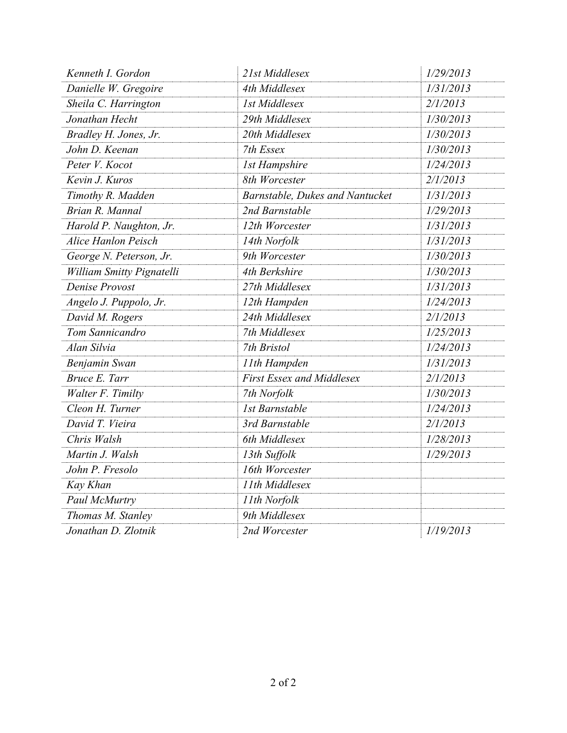| Kenneth I. Gordon          | 21st Middlesex                   | 1/29/2013 |
|----------------------------|----------------------------------|-----------|
| Danielle W. Gregoire       | 4th Middlesex                    | 1/31/2013 |
| Sheila C. Harrington       | <b>1st Middlesex</b>             | 2/1/2013  |
| Jonathan Hecht             | 29th Middlesex                   | 1/30/2013 |
| Bradley H. Jones, Jr.      | 20th Middlesex                   | 1/30/2013 |
| John D. Keenan             | 7th Essex                        | 1/30/2013 |
| Peter V. Kocot             | <b>1st Hampshire</b>             | 1/24/2013 |
| Kevin J. Kuros             | 8th Worcester                    | 2/1/2013  |
| Timothy R. Madden          | Barnstable, Dukes and Nantucket  | 1/31/2013 |
| Brian R. Mannal            | 2nd Barnstable                   | 1/29/2013 |
| Harold P. Naughton, Jr.    | 12th Worcester                   | 1/31/2013 |
| <b>Alice Hanlon Peisch</b> | 14th Norfolk                     | 1/31/2013 |
| George N. Peterson, Jr.    | 9th Worcester                    | 1/30/2013 |
| William Smitty Pignatelli  | 4th Berkshire                    | 1/30/2013 |
| Denise Provost             | 27th Middlesex                   | 1/31/2013 |
| Angelo J. Puppolo, Jr.     | 12th Hampden                     | 1/24/2013 |
| David M. Rogers            | 24th Middlesex                   | 2/1/2013  |
| Tom Sannicandro            | 7th Middlesex                    | 1/25/2013 |
| Alan Silvia                | 7th Bristol                      | 1/24/2013 |
| Benjamin Swan              | 11th Hampden                     | 1/31/2013 |
| Bruce E. Tarr              | <b>First Essex and Middlesex</b> | 2/1/2013  |
| Walter F. Timilty          | 7th Norfolk                      | 1/30/2013 |
| Cleon H. Turner            | <b>Ist Barnstable</b>            | 1/24/2013 |
| David T. Vieira            | 3rd Barnstable                   | 2/1/2013  |
| Chris Walsh                | 6th Middlesex                    | 1/28/2013 |
| Martin J. Walsh            | 13th Suffolk                     | 1/29/2013 |
| John P. Fresolo            | 16th Worcester                   |           |
| Kay Khan                   | 11th Middlesex                   |           |
| Paul McMurtry              | 11th Norfolk                     |           |
| Thomas M. Stanley          | 9th Middlesex                    |           |
| Jonathan D. Zlotnik        | 2nd Worcester                    | 1/19/2013 |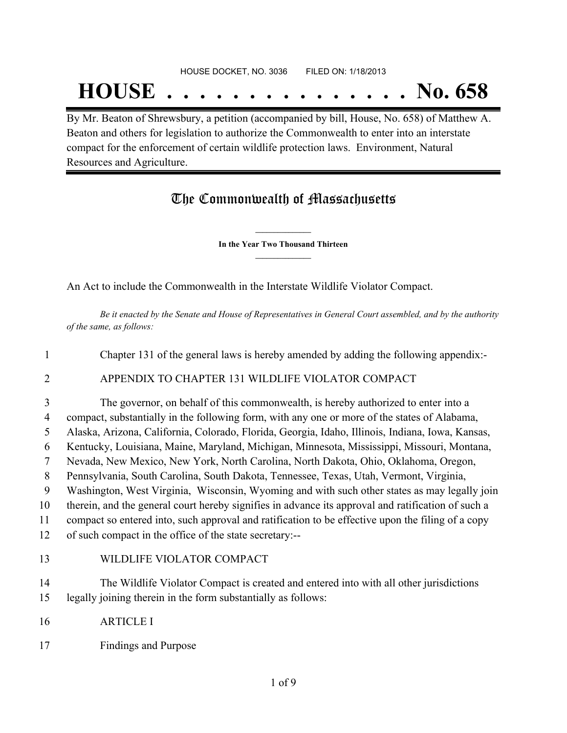# **HOUSE . . . . . . . . . . . . . . . No. 658**

By Mr. Beaton of Shrewsbury, a petition (accompanied by bill, House, No. 658) of Matthew A. Beaton and others for legislation to authorize the Commonwealth to enter into an interstate compact for the enforcement of certain wildlife protection laws. Environment, Natural Resources and Agriculture.

## The Commonwealth of Massachusetts

**\_\_\_\_\_\_\_\_\_\_\_\_\_\_\_ In the Year Two Thousand Thirteen \_\_\_\_\_\_\_\_\_\_\_\_\_\_\_**

An Act to include the Commonwealth in the Interstate Wildlife Violator Compact.

Be it enacted by the Senate and House of Representatives in General Court assembled, and by the authority *of the same, as follows:*

1 Chapter 131 of the general laws is hereby amended by adding the following appendix:-

### 2 APPENDIX TO CHAPTER 131 WILDLIFE VIOLATOR COMPACT

 The governor, on behalf of this commonwealth, is hereby authorized to enter into a compact, substantially in the following form, with any one or more of the states of Alabama, Alaska, Arizona, California, Colorado, Florida, Georgia, Idaho, Illinois, Indiana, Iowa, Kansas, Kentucky, Louisiana, Maine, Maryland, Michigan, Minnesota, Mississippi, Missouri, Montana, Nevada, New Mexico, New York, North Carolina, North Dakota, Ohio, Oklahoma, Oregon, Pennsylvania, South Carolina, South Dakota, Tennessee, Texas, Utah, Vermont, Virginia, Washington, West Virginia, Wisconsin, Wyoming and with such other states as may legally join therein, and the general court hereby signifies in advance its approval and ratification of such a compact so entered into, such approval and ratification to be effective upon the filing of a copy of such compact in the office of the state secretary:-- WILDLIFE VIOLATOR COMPACT

14 The Wildlife Violator Compact is created and entered into with all other jurisdictions 15 legally joining therein in the form substantially as follows:

- 16 ARTICLE I
- 17 Findings and Purpose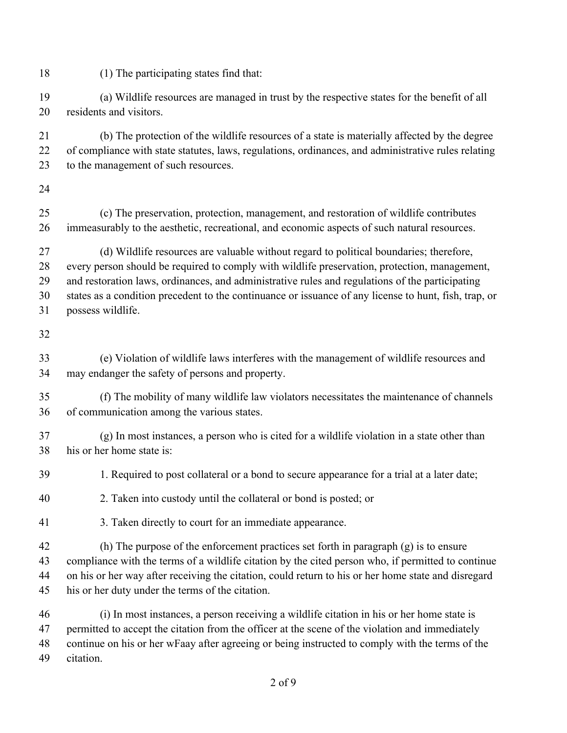(1) The participating states find that: (a) Wildlife resources are managed in trust by the respective states for the benefit of all residents and visitors. (b) The protection of the wildlife resources of a state is materially affected by the degree of compliance with state statutes, laws, regulations, ordinances, and administrative rules relating to the management of such resources. (c) The preservation, protection, management, and restoration of wildlife contributes immeasurably to the aesthetic, recreational, and economic aspects of such natural resources. (d) Wildlife resources are valuable without regard to political boundaries; therefore, every person should be required to comply with wildlife preservation, protection, management, and restoration laws, ordinances, and administrative rules and regulations of the participating states as a condition precedent to the continuance or issuance of any license to hunt, fish, trap, or possess wildlife. (e) Violation of wildlife laws interferes with the management of wildlife resources and may endanger the safety of persons and property. (f) The mobility of many wildlife law violators necessitates the maintenance of channels of communication among the various states. (g) In most instances, a person who is cited for a wildlife violation in a state other than his or her home state is: 1. Required to post collateral or a bond to secure appearance for a trial at a later date; 2. Taken into custody until the collateral or bond is posted; or 3. Taken directly to court for an immediate appearance. (h) The purpose of the enforcement practices set forth in paragraph (g) is to ensure compliance with the terms of a wildlife citation by the cited person who, if permitted to continue on his or her way after receiving the citation, could return to his or her home state and disregard his or her duty under the terms of the citation. (i) In most instances, a person receiving a wildlife citation in his or her home state is 47 permitted to accept the citation from the officer at the scene of the violation and immediately continue on his or her wFaay after agreeing or being instructed to comply with the terms of the citation.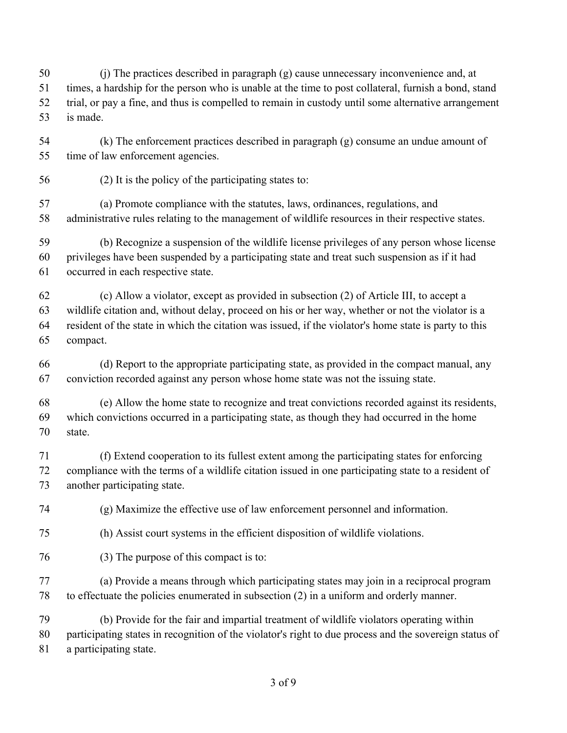(j) The practices described in paragraph (g) cause unnecessary inconvenience and, at times, a hardship for the person who is unable at the time to post collateral, furnish a bond, stand trial, or pay a fine, and thus is compelled to remain in custody until some alternative arrangement is made.

 (k) The enforcement practices described in paragraph (g) consume an undue amount of time of law enforcement agencies.

(2) It is the policy of the participating states to:

 (a) Promote compliance with the statutes, laws, ordinances, regulations, and administrative rules relating to the management of wildlife resources in their respective states.

 (b) Recognize a suspension of the wildlife license privileges of any person whose license privileges have been suspended by a participating state and treat such suspension as if it had occurred in each respective state.

 (c) Allow a violator, except as provided in subsection (2) of Article III, to accept a wildlife citation and, without delay, proceed on his or her way, whether or not the violator is a resident of the state in which the citation was issued, if the violator's home state is party to this compact.

 (d) Report to the appropriate participating state, as provided in the compact manual, any conviction recorded against any person whose home state was not the issuing state.

 (e) Allow the home state to recognize and treat convictions recorded against its residents, which convictions occurred in a participating state, as though they had occurred in the home state.

 (f) Extend cooperation to its fullest extent among the participating states for enforcing compliance with the terms of a wildlife citation issued in one participating state to a resident of another participating state.

(g) Maximize the effective use of law enforcement personnel and information.

- (h) Assist court systems in the efficient disposition of wildlife violations.
- (3) The purpose of this compact is to:

 (a) Provide a means through which participating states may join in a reciprocal program to effectuate the policies enumerated in subsection (2) in a uniform and orderly manner.

 (b) Provide for the fair and impartial treatment of wildlife violators operating within participating states in recognition of the violator's right to due process and the sovereign status of a participating state.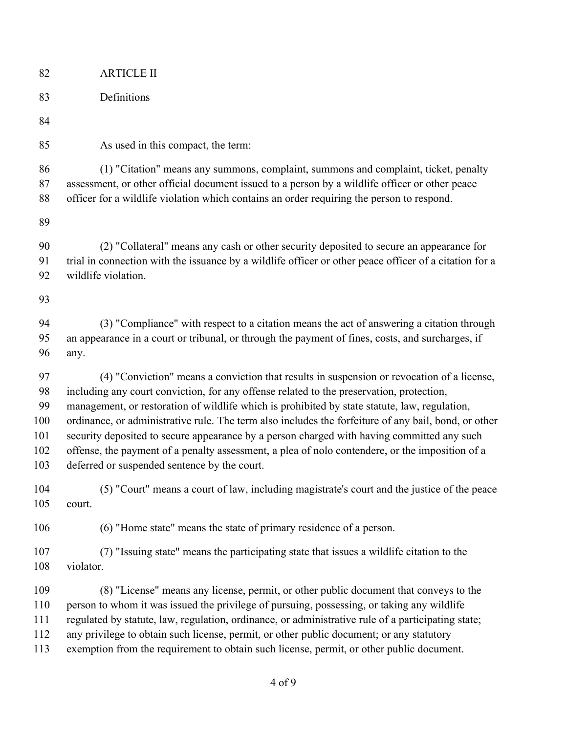| 82  | <b>ARTICLE II</b>                                                                                      |
|-----|--------------------------------------------------------------------------------------------------------|
| 83  | Definitions                                                                                            |
| 84  |                                                                                                        |
| 85  | As used in this compact, the term:                                                                     |
| 86  | (1) "Citation" means any summons, complaint, summons and complaint, ticket, penalty                    |
| 87  | assessment, or other official document issued to a person by a wildlife officer or other peace         |
| 88  | officer for a wildlife violation which contains an order requiring the person to respond.              |
| 89  |                                                                                                        |
| 90  | (2) "Collateral" means any cash or other security deposited to secure an appearance for                |
| 91  | trial in connection with the issuance by a wildlife officer or other peace officer of a citation for a |
| 92  | wildlife violation.                                                                                    |
| 93  |                                                                                                        |
| 94  | (3) "Compliance" with respect to a citation means the act of answering a citation through              |
| 95  | an appearance in a court or tribunal, or through the payment of fines, costs, and surcharges, if       |
| 96  | any.                                                                                                   |
| 97  | (4) "Conviction" means a conviction that results in suspension or revocation of a license,             |
| 98  | including any court conviction, for any offense related to the preservation, protection,               |
| 99  | management, or restoration of wildlife which is prohibited by state statute, law, regulation,          |
| 100 | ordinance, or administrative rule. The term also includes the forfeiture of any bail, bond, or other   |
| 101 | security deposited to secure appearance by a person charged with having committed any such             |
| 102 | offense, the payment of a penalty assessment, a plea of nolo contendere, or the imposition of a        |
| 103 | deferred or suspended sentence by the court.                                                           |
| 104 | (5) "Court" means a court of law, including magistrate's court and the justice of the peace            |
| 105 | court.                                                                                                 |
| 106 | (6) "Home state" means the state of primary residence of a person.                                     |
| 107 | (7) "Issuing state" means the participating state that issues a wildlife citation to the               |
| 108 | violator.                                                                                              |
| 109 | (8) "License" means any license, permit, or other public document that conveys to the                  |
| 110 | person to whom it was issued the privilege of pursuing, possessing, or taking any wildlife             |
| 111 | regulated by statute, law, regulation, ordinance, or administrative rule of a participating state;     |
| 112 | any privilege to obtain such license, permit, or other public document; or any statutory               |
| 113 | exemption from the requirement to obtain such license, permit, or other public document.               |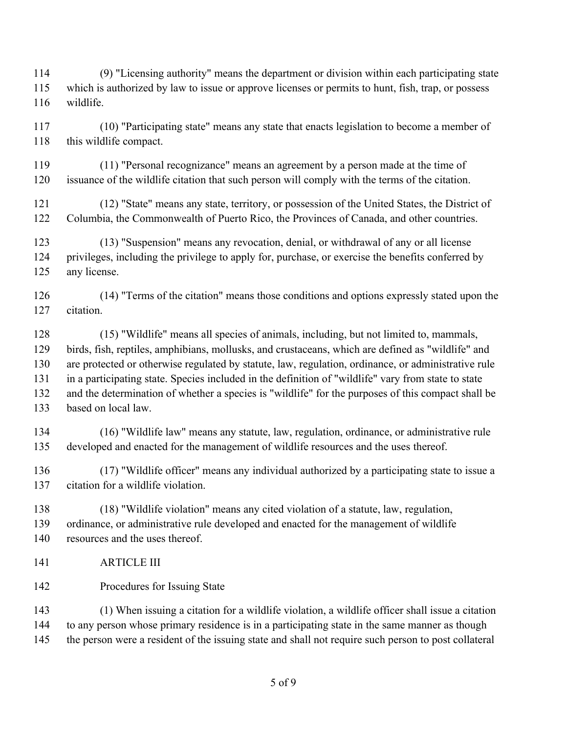(9) "Licensing authority" means the department or division within each participating state which is authorized by law to issue or approve licenses or permits to hunt, fish, trap, or possess wildlife.

 (10) "Participating state" means any state that enacts legislation to become a member of 118 this wildlife compact.

 (11) "Personal recognizance" means an agreement by a person made at the time of issuance of the wildlife citation that such person will comply with the terms of the citation.

 (12) "State" means any state, territory, or possession of the United States, the District of Columbia, the Commonwealth of Puerto Rico, the Provinces of Canada, and other countries.

 (13) "Suspension" means any revocation, denial, or withdrawal of any or all license privileges, including the privilege to apply for, purchase, or exercise the benefits conferred by any license.

 (14) "Terms of the citation" means those conditions and options expressly stated upon the citation.

 (15) "Wildlife" means all species of animals, including, but not limited to, mammals, birds, fish, reptiles, amphibians, mollusks, and crustaceans, which are defined as "wildlife" and are protected or otherwise regulated by statute, law, regulation, ordinance, or administrative rule in a participating state. Species included in the definition of "wildlife" vary from state to state and the determination of whether a species is "wildlife" for the purposes of this compact shall be based on local law.

 (16) "Wildlife law" means any statute, law, regulation, ordinance, or administrative rule developed and enacted for the management of wildlife resources and the uses thereof.

 (17) "Wildlife officer" means any individual authorized by a participating state to issue a citation for a wildlife violation.

 (18) "Wildlife violation" means any cited violation of a statute, law, regulation, ordinance, or administrative rule developed and enacted for the management of wildlife resources and the uses thereof.

ARTICLE III

Procedures for Issuing State

 (1) When issuing a citation for a wildlife violation, a wildlife officer shall issue a citation to any person whose primary residence is in a participating state in the same manner as though the person were a resident of the issuing state and shall not require such person to post collateral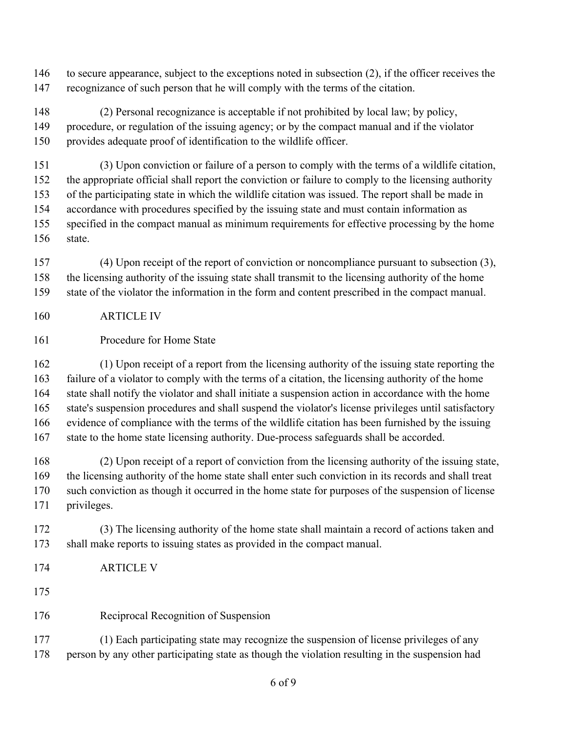to secure appearance, subject to the exceptions noted in subsection (2), if the officer receives the recognizance of such person that he will comply with the terms of the citation.

 (2) Personal recognizance is acceptable if not prohibited by local law; by policy, procedure, or regulation of the issuing agency; or by the compact manual and if the violator provides adequate proof of identification to the wildlife officer.

 (3) Upon conviction or failure of a person to comply with the terms of a wildlife citation, the appropriate official shall report the conviction or failure to comply to the licensing authority of the participating state in which the wildlife citation was issued. The report shall be made in accordance with procedures specified by the issuing state and must contain information as specified in the compact manual as minimum requirements for effective processing by the home state.

 (4) Upon receipt of the report of conviction or noncompliance pursuant to subsection (3), the licensing authority of the issuing state shall transmit to the licensing authority of the home state of the violator the information in the form and content prescribed in the compact manual.

- ARTICLE IV
- Procedure for Home State

 (1) Upon receipt of a report from the licensing authority of the issuing state reporting the failure of a violator to comply with the terms of a citation, the licensing authority of the home state shall notify the violator and shall initiate a suspension action in accordance with the home state's suspension procedures and shall suspend the violator's license privileges until satisfactory evidence of compliance with the terms of the wildlife citation has been furnished by the issuing state to the home state licensing authority. Due-process safeguards shall be accorded.

 (2) Upon receipt of a report of conviction from the licensing authority of the issuing state, the licensing authority of the home state shall enter such conviction in its records and shall treat such conviction as though it occurred in the home state for purposes of the suspension of license privileges.

 (3) The licensing authority of the home state shall maintain a record of actions taken and shall make reports to issuing states as provided in the compact manual.

ARTICLE V

Reciprocal Recognition of Suspension

 (1) Each participating state may recognize the suspension of license privileges of any 178 person by any other participating state as though the violation resulting in the suspension had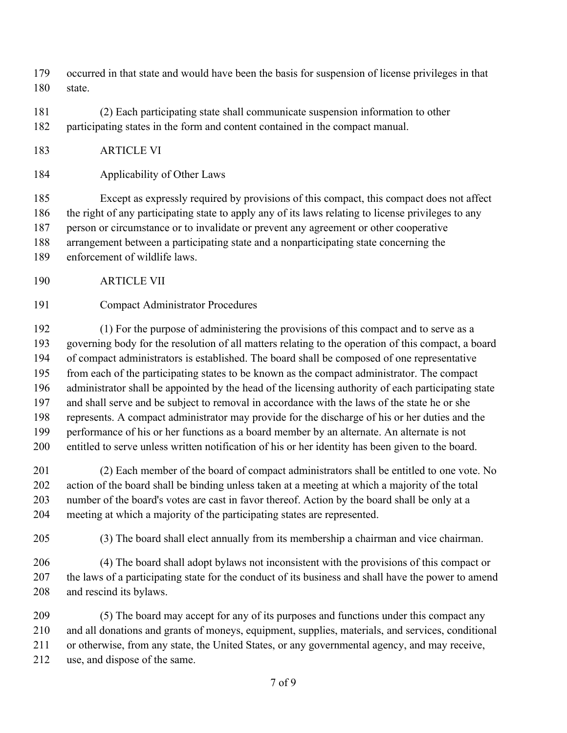- occurred in that state and would have been the basis for suspension of license privileges in that state.
- (2) Each participating state shall communicate suspension information to other participating states in the form and content contained in the compact manual.
- ARTICLE VI
- Applicability of Other Laws

 Except as expressly required by provisions of this compact, this compact does not affect the right of any participating state to apply any of its laws relating to license privileges to any person or circumstance or to invalidate or prevent any agreement or other cooperative arrangement between a participating state and a nonparticipating state concerning the

- enforcement of wildlife laws.
- ARTICLE VII
- Compact Administrator Procedures

 (1) For the purpose of administering the provisions of this compact and to serve as a governing body for the resolution of all matters relating to the operation of this compact, a board of compact administrators is established. The board shall be composed of one representative from each of the participating states to be known as the compact administrator. The compact administrator shall be appointed by the head of the licensing authority of each participating state and shall serve and be subject to removal in accordance with the laws of the state he or she represents. A compact administrator may provide for the discharge of his or her duties and the performance of his or her functions as a board member by an alternate. An alternate is not entitled to serve unless written notification of his or her identity has been given to the board.

 (2) Each member of the board of compact administrators shall be entitled to one vote. No action of the board shall be binding unless taken at a meeting at which a majority of the total number of the board's votes are cast in favor thereof. Action by the board shall be only at a meeting at which a majority of the participating states are represented.

(3) The board shall elect annually from its membership a chairman and vice chairman.

 (4) The board shall adopt bylaws not inconsistent with the provisions of this compact or the laws of a participating state for the conduct of its business and shall have the power to amend and rescind its bylaws.

 (5) The board may accept for any of its purposes and functions under this compact any and all donations and grants of moneys, equipment, supplies, materials, and services, conditional or otherwise, from any state, the United States, or any governmental agency, and may receive, use, and dispose of the same.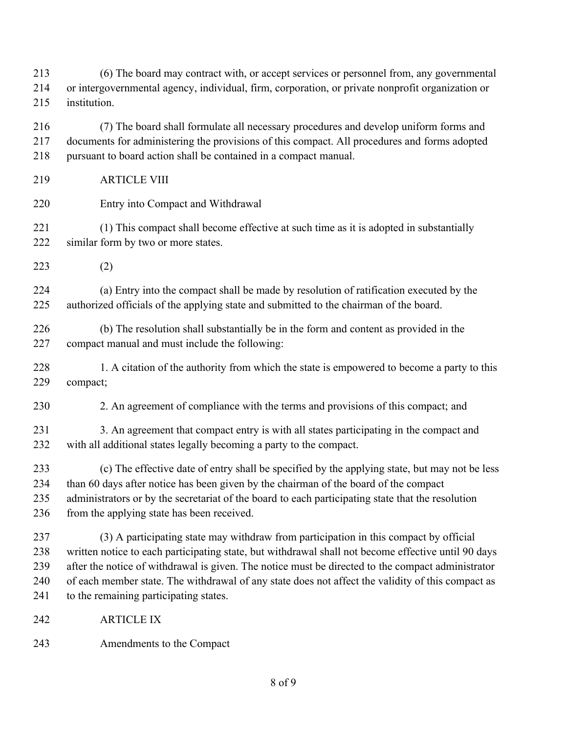(6) The board may contract with, or accept services or personnel from, any governmental or intergovernmental agency, individual, firm, corporation, or private nonprofit organization or institution.

 (7) The board shall formulate all necessary procedures and develop uniform forms and documents for administering the provisions of this compact. All procedures and forms adopted pursuant to board action shall be contained in a compact manual.

- ARTICLE VIII
- Entry into Compact and Withdrawal

 (1) This compact shall become effective at such time as it is adopted in substantially similar form by two or more states.

(2)

 (a) Entry into the compact shall be made by resolution of ratification executed by the authorized officials of the applying state and submitted to the chairman of the board.

 (b) The resolution shall substantially be in the form and content as provided in the compact manual and must include the following:

228 1. A citation of the authority from which the state is empowered to become a party to this compact;

2. An agreement of compliance with the terms and provisions of this compact; and

231 3. An agreement that compact entry is with all states participating in the compact and with all additional states legally becoming a party to the compact.

 (c) The effective date of entry shall be specified by the applying state, but may not be less than 60 days after notice has been given by the chairman of the board of the compact administrators or by the secretariat of the board to each participating state that the resolution 236 from the applying state has been received.

 (3) A participating state may withdraw from participation in this compact by official written notice to each participating state, but withdrawal shall not become effective until 90 days after the notice of withdrawal is given. The notice must be directed to the compact administrator of each member state. The withdrawal of any state does not affect the validity of this compact as 241 to the remaining participating states.

- ARTICLE IX
- Amendments to the Compact